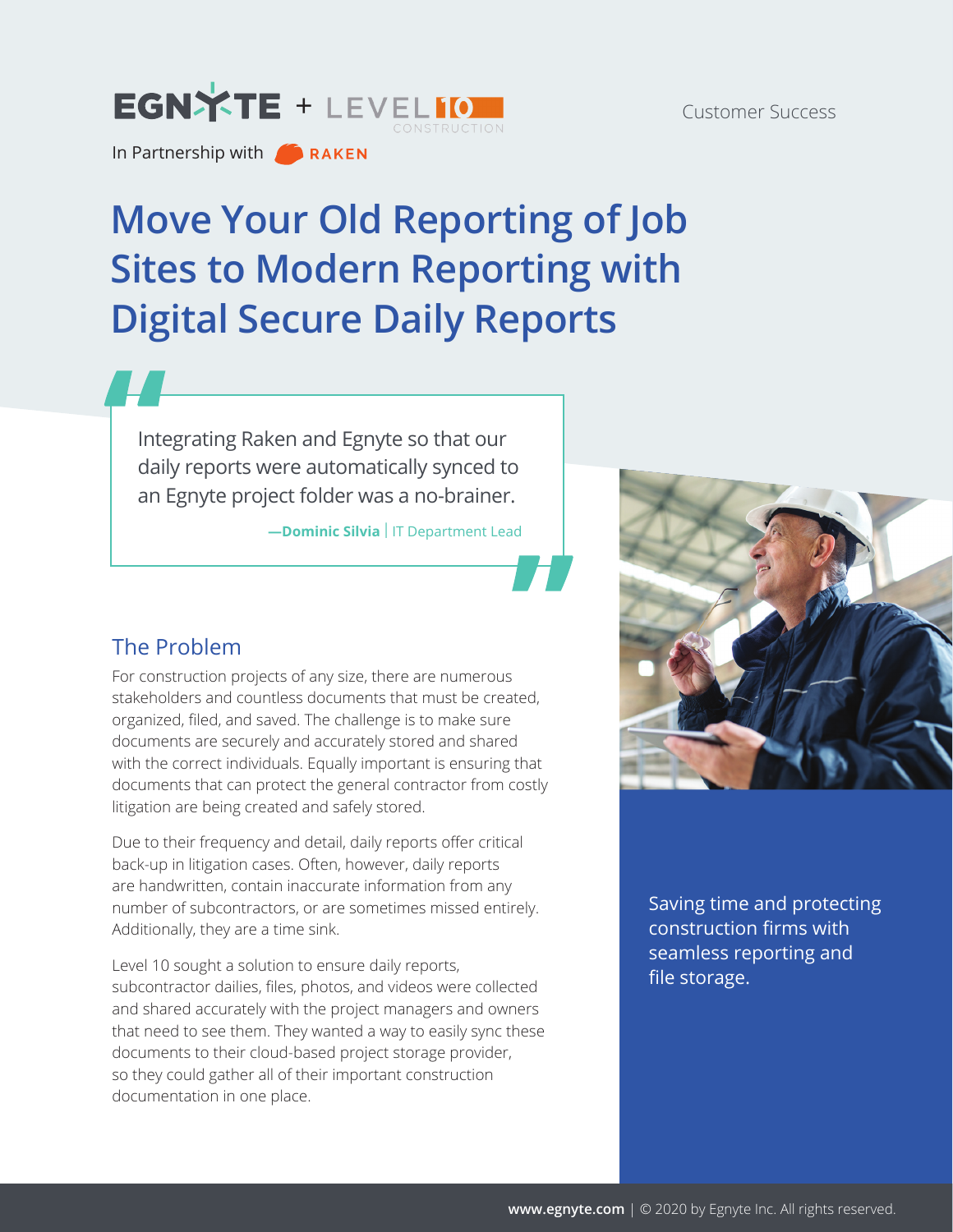# EGNXTE [+](http://www.egnyte.com) LEVELIO

In Partnership with **CALCIAN** 

# **Move Your Old Reporting of Job Sites to Modern Reporting with Digital Secure Daily Reports**

Integrating Raken and Egnyte so that our daily reports were automatically synced to an Egnyte project folder was a no-brainer.

**-Dominic Silvia** | IT Department Lead



For construction projects of any size, there are numerous stakeholders and countless documents that must be created, organized, filed, and saved. The challenge is to make sure documents are securely and accurately stored and shared with the correct individuals. Equally important is ensuring that documents that can protect the general contractor from costly litigation are being created and safely stored.

Due to their frequency and detail, daily reports offer critical back-up in litigation cases. Often, however, daily reports are handwritten, contain inaccurate information from any number of subcontractors, or are sometimes missed entirely. Additionally, they are a time sink.

Level 10 sought a solution to ensure daily reports, subcontractor dailies, files, photos, and videos were collected and shared accurately with the project managers and owners that need to see them. They wanted a way to easily sync these documents to their cloud-based project storage provider, so they could gather all of their important construction documentation in one place.



Saving time and protecting construction firms with seamless reporting and file storage.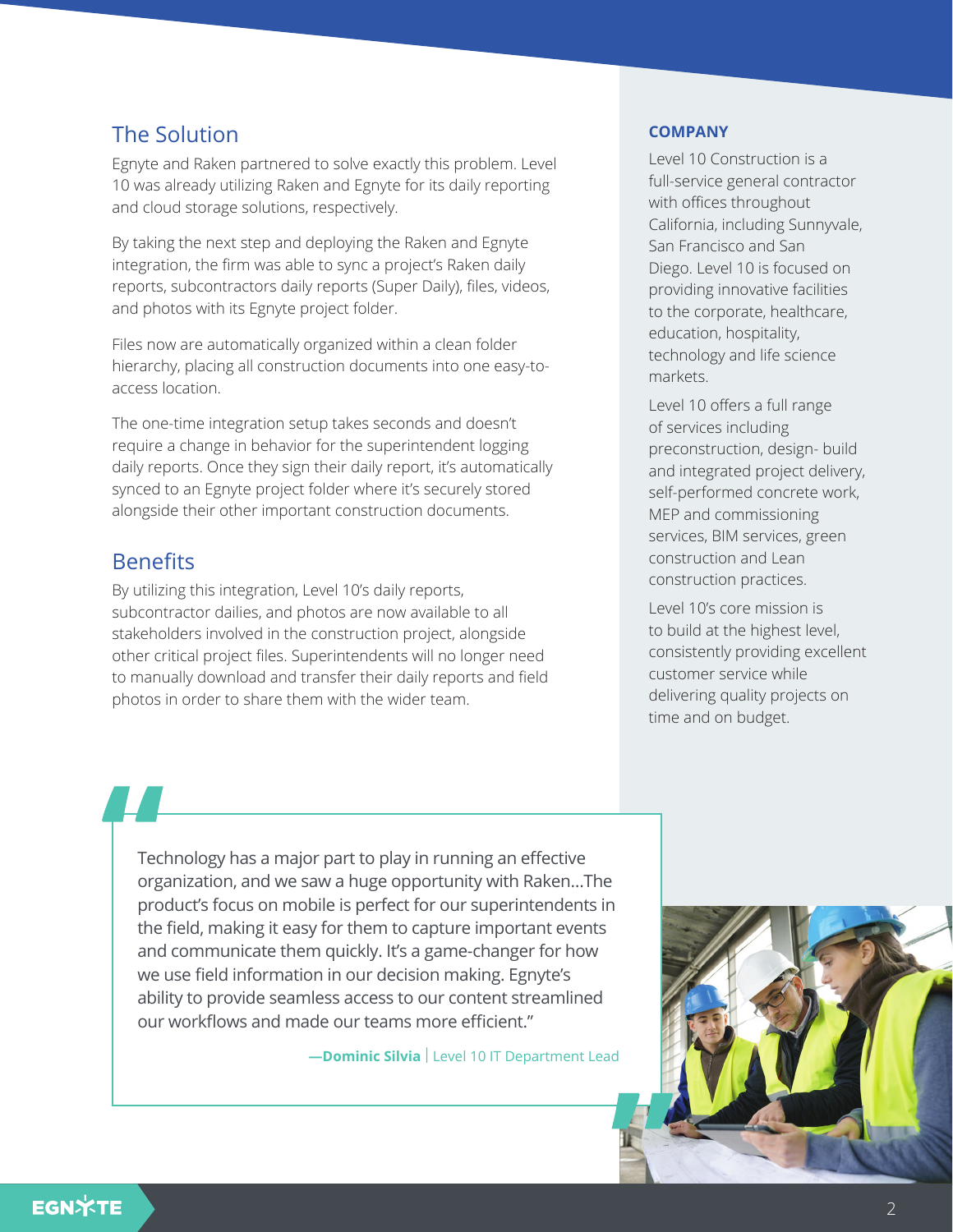## The Solution

Egnyte and Raken partnered to solve exactly this problem. Level 10 was already utilizing Raken and Egnyte for its daily reporting and cloud storage solutions, respectively.

By taking the next step and deploying the Raken and Egnyte integration, the firm was able to sync a project's Raken daily reports, subcontractors daily reports (Super Daily), files, videos, and photos with its Egnyte project folder.

Files now are automatically organized within a clean folder hierarchy, placing all construction documents into one easy-toaccess location.

The one-time integration setup takes seconds and doesn't require a change in behavior for the superintendent logging daily reports. Once they sign their daily report, it's automatically synced to an Egnyte project folder where it's securely stored alongside their other important construction documents.

### **Benefits**

By utilizing this integration, Level 10's daily reports, subcontractor dailies, and photos are now available to all stakeholders involved in the construction project, alongside other critical project files. Superintendents will no longer need to manually download and transfer their daily reports and field photos in order to share them with the wider team.

#### **COMPANY**

Level 10 Construction is a full-service general contractor with offices throughout California, including Sunnyvale, San Francisco and San Diego. Level 10 is focused on providing innovative facilities to the corporate, healthcare, education, hospitality, technology and life science markets.

Level 10 offers a full range of services including preconstruction, design- build and integrated project delivery, self-performed concrete work, MEP and commissioning services, BIM services, green construction and Lean construction practices.

Level 10's core mission is to build at the highest level, consistently providing excellent customer service while delivering quality projects on time and on budget.

Technology has a major part to play in running an effective organization, and we saw a huge opportunity with Raken…The product's focus on mobile is perfect for our superintendents in the field, making it easy for them to capture important events and communicate them quickly. It's a game-changer for how we use field information in our decision making. Egnyte's ability to provide seamless access to our content streamlined our workflows and made our teams more efficient."

**-Dominic Silvia** Level 10 IT Department Lead